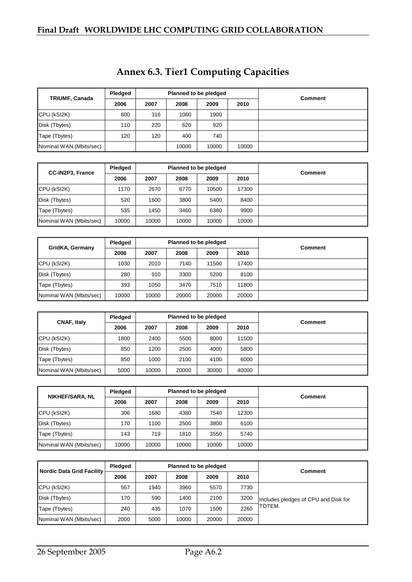| TRIUMF, Canada          | Pledged |      |       | Planned to be pledged | <b>Comment</b> |  |
|-------------------------|---------|------|-------|-----------------------|----------------|--|
|                         | 2006    | 2007 | 2008  | 2009                  |                |  |
| CPU (kSI2K)             | 600     | 316  | 1060  | 1900                  |                |  |
| Disk (Tbytes)           | 110     | 220  | 620   | 920                   |                |  |
| Tape (Tbytes)           | 120     | 120  | 400   | 740                   |                |  |
| Nominal WAN (Mbits/sec) |         |      | 10000 | 10000                 | 10000          |  |

| <b>CC-IN2P3, France</b><br>2006 | Pledged |       |       | Planned to be pledged | <b>Comment</b> |  |
|---------------------------------|---------|-------|-------|-----------------------|----------------|--|
|                                 |         | 2007  | 2008  | 2009                  | 2010           |  |
| CPU (kSI2K)                     | 1170    | 2670  | 6770  | 10500                 | 17300          |  |
| Disk (Tbytes)                   | 520     | 1600  | 3800  | 5400                  | 8400           |  |
| Tape (Tbytes)                   | 535     | 1450  | 3460  | 6380                  | 9900           |  |
| Nominal WAN (Mbits/sec)         | 10000   | 10000 | 10000 | 10000                 | 10000          |  |

|                         | Pledged |       |       | Planned to be pledged | <b>Comment</b> |  |
|-------------------------|---------|-------|-------|-----------------------|----------------|--|
| GridKA, Germany         | 2006    | 2007  | 2008  | 2009                  | 2010           |  |
| CPU (kSI2K)             | 1030    | 2010  | 7140  | 11500                 | 17400          |  |
| Disk (Tbytes)           | 280     | 910   | 3300  | 5200                  | 8100           |  |
| Tape (Tbytes)           | 393     | 1050  | 3470  | 7510                  | 11800          |  |
| Nominal WAN (Mbits/sec) | 10000   | 10000 | 20000 | 20000                 | 20000          |  |

|                         | Pledged |       | Planned to be pledged |       | <b>Comment</b> |  |
|-------------------------|---------|-------|-----------------------|-------|----------------|--|
| <b>CNAF, Italy</b>      | 2006    | 2007  | 2008                  | 2009  | 2010           |  |
| CPU (kSI2K)             | 1800    | 2400  | 5500                  | 8000  | 11500          |  |
| Disk (Tbytes)           | 850     | 1200  | 2500                  | 4000  | 5800           |  |
| Tape (Tbytes)           | 850     | 1000  | 2100                  | 4100  | 6000           |  |
| Nominal WAN (Mbits/sec) | 5000    | 10000 | 20000                 | 30000 | 40000          |  |

|                         | Pledged |       |       | Planned to be pledged | <b>Comment</b> |  |
|-------------------------|---------|-------|-------|-----------------------|----------------|--|
| <b>NIKHEF/SARA, NL</b>  | 2006    | 2007  | 2008  | 2009                  | 2010           |  |
| CPU (kSI2K)             | 306     | 1680  | 4380  | 7540                  | 12300          |  |
| Disk (Tbytes)           | 170     | 1100  | 2500  | 3800                  | 6100           |  |
| Tape (Tbytes)           | 143     | 719   | 1810  | 3550                  | 5740           |  |
| Nominal WAN (Mbits/sec) | 10000   | 10000 | 10000 | 10000                 | 10000          |  |

| Nordic Data Grid Facility | <b>Pledaed</b> |      |       | Planned to be pledged | <b>Comment</b> |                                      |
|---------------------------|----------------|------|-------|-----------------------|----------------|--------------------------------------|
|                           | 2006           | 2007 | 2008  | 2009                  | 2010           |                                      |
| CPU (kSI2K)               | 567            | 1940 | 3960  | 5570                  | 7730           |                                      |
| Disk (Tbytes)             | 170            | 590  | 1400  | 2100                  | 3200           | Includes pledges of CPU and Disk for |
| Tape (Tbytes)             | 240            | 435  | 1070  | 1500                  | 2260           | TOTEM.                               |
| Nominal WAN (Mbits/sec)   | 2000           | 5000 | 10000 | 20000                 | 20000          |                                      |